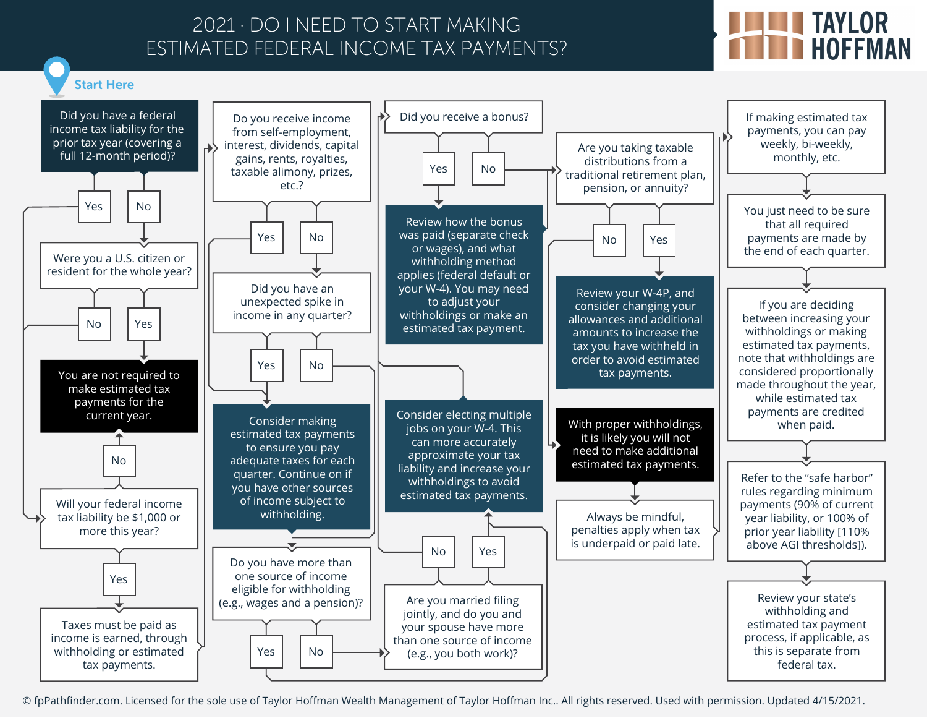## 2021 · DO I NEED TO START MAKING ESTIMATED FEDERAL INCOME TAX PAYMENTS?

## **THE TAYLOR<br>THE HOFFMAN**



© fpPathfinder.com. Licensed for the sole use of Taylor Hoffman Wealth Management of Taylor Hoffman Inc.. All rights reserved. Used with permission. Updated 4/15/2021.